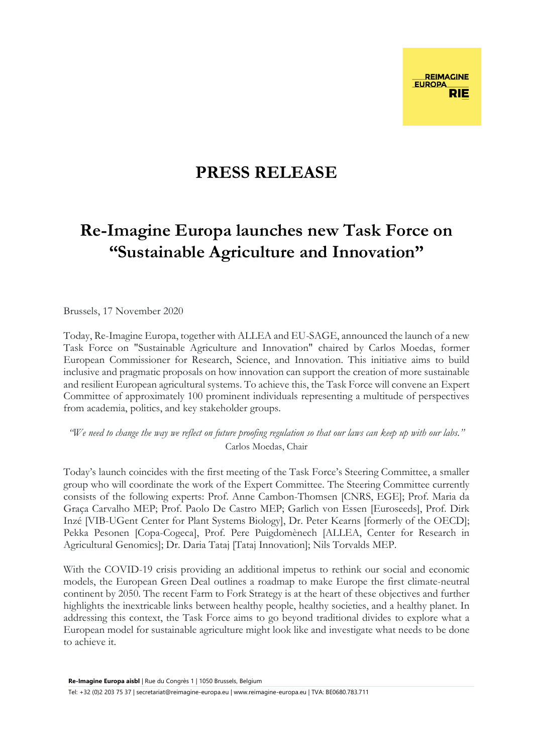## **PRESS RELEASE**

## **Re-Imagine Europa launches new Task Force on "Sustainable Agriculture and Innovation"**

Brussels, 17 November 2020

Today, Re-Imagine Europa, together with ALLEA and EU-SAGE, announced the launch of a new Task Force on "Sustainable Agriculture and Innovation" chaired by Carlos Moedas, former European Commissioner for Research, Science, and Innovation. This initiative aims to build inclusive and pragmatic proposals on how innovation can support the creation of more sustainable and resilient European agricultural systems. To achieve this, the Task Force will convene an Expert Committee of approximately 100 prominent individuals representing a multitude of perspectives from academia, politics, and key stakeholder groups.

*"We need to change the way we reflect on future proofing regulation so that our laws can keep up with our labs."*  Carlos Moedas, Chair

Today's launch coincides with the first meeting of the Task Force's Steering Committee, a smaller group who will coordinate the work of the Expert Committee. The Steering Committee currently consists of the following experts: Prof. Anne Cambon-Thomsen [CNRS, EGE]; Prof. Maria da Graça Carvalho MEP; Prof. Paolo De Castro MEP; Garlich von Essen [Euroseeds], Prof. Dirk Inzé [VIB-UGent Center for Plant Systems Biology], Dr. Peter Kearns [formerly of the OECD]; Pekka Pesonen [Copa-Cogeca], Prof. Pere Puigdomènech [ALLEA, Center for Research in Agricultural Genomics]; Dr. Daria Tataj [Tataj Innovation]; Nils Torvalds MEP.

With the COVID-19 crisis providing an additional impetus to rethink our social and economic models, the European Green Deal outlines a roadmap to make Europe the first climate-neutral continent by 2050. The recent Farm to Fork Strategy is at the heart of these objectives and further highlights the inextricable links between healthy people, healthy societies, and a healthy planet. In addressing this context, the Task Force aims to go beyond traditional divides to explore what a European model for sustainable agriculture might look like and investigate what needs to be done to achieve it.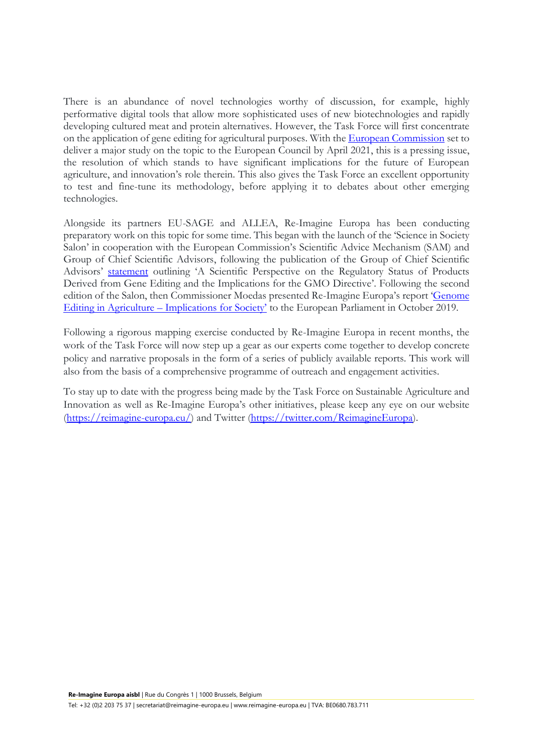There is an abundance of novel technologies worthy of discussion, for example, highly performative digital tools that allow more sophisticated uses of new biotechnologies and rapidly developing cultured meat and protein alternatives. However, the Task Force will first concentrate on the application of gene editing for agricultural purposes. With the [European Commission](https://ec.europa.eu/food/plant/gmo/modern_biotech/new-genomic-techniques_en) set to deliver a major study on the topic to the European Council by April 2021, this is a pressing issue, the resolution of which stands to have significant implications for the future of European agriculture, and innovation's role therein. This also gives the Task Force an excellent opportunity to test and fine-tune its methodology, before applying it to debates about other emerging technologies.

Alongside its partners EU-SAGE and ALLEA, Re-Imagine Europa has been conducting preparatory work on this topic for some time. This began with the launch of the 'Science in Society Salon' in cooperation with the European Commission's Scientific Advice Mechanism (SAM) and Group of Chief Scientific Advisors, following the publication of the Group of Chief Scientific Advisors' [statement](https://ec.europa.eu/info/publications/status-products-derived-gene-editing-and-implications-gmo-directive_en) outlining 'A Scientific Perspective on the Regulatory Status of Products Derived from Gene Editing and the Implications for the GMO Directive'. Following the second edition of the Salon, then Commissioner Moedas presented Re-Imagine Europa's report '[Genome](https://reimagine-europa.eu/the-report-genome-editing-in-agriculture-implications-for-society-is-now-available-for-download)  Editing in Agriculture – [Implications for Society'](https://reimagine-europa.eu/the-report-genome-editing-in-agriculture-implications-for-society-is-now-available-for-download) to the European Parliament in October 2019.

Following a rigorous mapping exercise conducted by Re-Imagine Europa in recent months, the work of the Task Force will now step up a gear as our experts come together to develop concrete policy and narrative proposals in the form of a series of publicly available reports. This work will also from the basis of a comprehensive programme of outreach and engagement activities.

To stay up to date with the progress being made by the Task Force on Sustainable Agriculture and Innovation as well as Re-Imagine Europa's other initiatives, please keep any eye on our website [\(https://reimagine-europa.eu/\)](https://reimagine-europa.eu/) and Twitter [\(https://twitter.com/ReimagineEuropa\)](https://twitter.com/ReimagineEuropa).